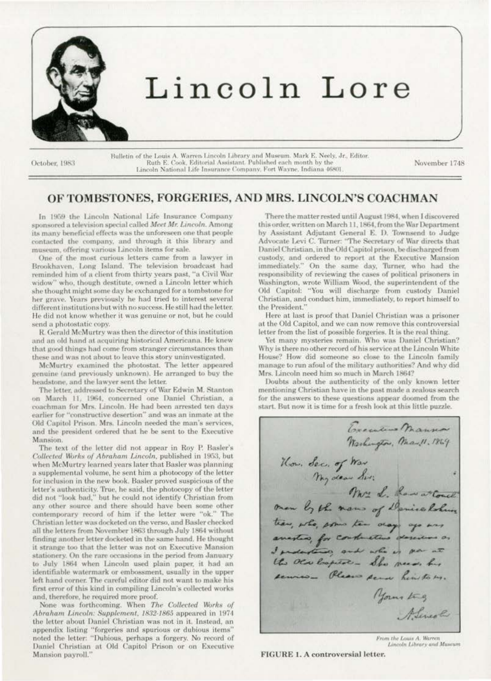

# Lincoln Lore

October, 1983

Bulletin of the Louis A. Warren-Lincoln Library and Museum. Mark E. Neely, Jr., Editor. Ruth E. Cook, Editorial Assistant. Published each month by the Lincoln National Life Insurance Company, Fort Wayne, Indiana 46801

November 1748

# OF TOMBSTONES, FORGERIES, AND MRS. LINCOLN'S COACHMAN

In 1959 the Lincoln National Life Insurance Company sponsored a television special called Meet Mr. Lincoln. Among its many beneficial effects was the unforeseen one that people contacted the company, and through it this library and museum, offering various Lincoln items for sale.

One of the most curious letters came from a lawyer in Brookhaven, Long Island. The television broadcast had reminded him of a client from thirty years past, "a Civil War widow" who, though destitute, owned a Lincoln letter which she thought might some day be exchanged for a tombstone for her grave. Years previously he had tried to interest several different institutions but with no success. He still had the letter. He did not know whether it was genuine or not, but he could send a photostatic copy.

R. Gerald McMurtry was then the director of this institution and an old hand at acquiring historical Americana. He knew that good things had come from stranger circumstances than these and was not about to leave this story uninvestigated.

McMurtry examined the photostat. The letter appeared genuine (and previously unknown). He arranged to buy the headstone, and the lawyer sent the letter.

The letter, addressed to Secretary of War Edwin M. Stanton on March 11, 1964, concerned one Daniel Christian, a coachman for Mrs. Lincoln. He had been arrested ten days earlier for "constructive desertion" and was an inmate at the Old Capitol Prison. Mrs. Lincoln needed the man's services. and the president ordered that he be sent to the Executive Mansion.

The text of the letter did not appear in Roy P. Basler's Collected Works of Abraham Lincoln, published in 1953, but when McMurtry learned years later that Basler was planning a supplemental volume, he sent him a photocopy of the letter for inclusion in the new book. Basler proved suspicious of the letter's authenticity. True, he said, the photocopy of the letter did not "look bad," but he could not identify Christian from any other source and there should have been some other contemporary record of him if the letter were "ok." The Christian letter was docketed on the verso, and Basler checked all the letters from November 1863 through July 1864 without finding another letter docketed in the same hand. He thought it strange too that the letter was not on Executive Mansion stationery. On the rare occasions in the period from January to July 1864 when Lincoln used plain paper, it had an identifiable watermark or embossment, usually in the upper left hand corner. The careful editor did not want to make his first error of this kind in compiling Lincoln's collected works and, therefore, he required more proof.

None was forthcoming. When The Collected Works of Abraham Lincoln: Supplement, 1832-1865 appeared in 1974 the letter about Daniel Christian was not in it. Instead, an appendix listing "forgeries and spurious or dubious items"<br>noted the letter: "Dubious, perhaps a forgery. No record of Daniel Christian at Old Capitol Prison or on Executive Mansion payroll."

There the matter rested until August 1984, when I discovered this order, written on March 11, 1864, from the War Department by Assistant Adjutant General E. D. Townsend to Judge Advocate Levi C. Turner: "The Secretary of War directs that Daniel Christian, in the Old Capitol prison, be discharged from custody, and ordered to report at the Executive Mansion immediately." On the same day, Turner, who had the responsibility of reviewing the cases of political prisoners in Washington, wrote William Wood, the superintendent of the Old Capitol: "You will discharge from custody Daniel Christian, and conduct him, immediately, to report himself to the President."

Here at last is proof that Daniel Christian was a prisoner at the Old Capitol, and we can now remove this controversial letter from the list of possible forgeries. It is the real thing.

Yet many mysteries remain. Who was Daniel Christian? Why is there no other record of his service at the Lincoln White House? How did someone so close to the Lincoln family manage to run afoul of the military authorities? And why did Mrs. Lincoln need him so much in March 1864?

Doubts about the authenticity of the only known letter mentioning Christian have in the past made a zealous search for the answers to these questions appear doomed from the start. But now it is time for a fresh look at this little puzzle.

Executive Manna Washington, May 11.1869 How. Sec. of War. Mrs L. Law at Couch man by the name of Denice Robins tear, who, some ten day ago was anestro, for contractius descurs as the OCN Cooperation - She needs has sennes\_ Please perso him to us. yours try Alincola

From the Louis A. Warren Lincoln Library and Museum

FIGURE 1. A controversial letter.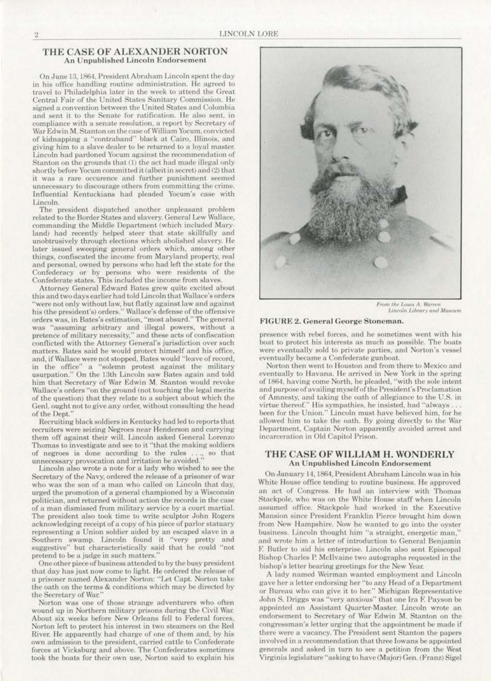#### THE CASE OF ALEXANDER NORTON **An Unpublished Lincoln Endorsement**

On June 13, 1864. President Abraham Lincoln spent the day in his office handling routine administration. He agreed to travel to Philadelphia later in the week to attend the Great Central Fair of the United States Sanitary Commission. He signed a convention between the United States and Colombia and sent it to the Senate for ratification. He also sent, in compliance with a senate resolution, a report by Secretary of War Edwin M. Stanton on the case of William Yocum, convicted of kidnapping a "contraband" black at Cairo, Illinois, and giving him to a slave dealer to be returned to a loyal master. Lincoln had pardoned Yocum against the recommendation of Stanton on the grounds that (1) the act had made illegal only shortly before Yocum committed it (albeit in secret) and (2) that it was a rare occurence and further punishment seemed unnecessary to discourage others from committing the crime. Influential Kentuckians had pleaded Yocum's case with Lincoln.

The president dispatched another unpleasant problem related to the Border States and slavery. General Lew Wallace, commanding the Middle Department (which included Maryland) had recently helped steer that state skillfully and unobtrusively through elections which abolished slavery. He later issued sweeping general orders which, among other things, confiscated the income from Maryland property, real and personal, owned by persons who had left the state for the Confederacy or by persons who were residents of the Confederate states. This included the income from slaves.

Attorney General Edward Bates grew quite excited about this and two days earlier had told Lincoln that Wallace's orders "were not only without law, but flatly against law and against<br>his (the president's) orders." Wallace's defense of the offensive orders was, in Bates's estimation, "most absurd." The general was "assuming arbitrary and illegal powers, without a pretence of military necessity," and these acts of confiscation conflicted with the Attorney General's jurisdiction over such matters. Bates said he would protect himself and his office, and, if Wallace were not stopped, Bates would "leave of record, in the office" a "solemn protest against the military usurpation." On the 13th Lincoln saw Bates again and told him that Secretary of War Edwin M. Stanton would revoke Wallace's orders "on the ground (not touching the legal merits of the question) that they relate to a subject about which the Genl. ought not to give any order, without consulting the head of the Dept.

Recruiting black soldiers in Kentucky had led to reports that recruiters were seizing Negroes near Henderson and carrying them off against their will. Lincoln asked General Lorenzo Thomas to investigate and see to it "that the making soldiers unnecessary provocation and irritation be avoided."  $\frac{1}{2}$  Lincoln also wrote under the strategies of the strategies of the strategies of the strategies of the strategies of the strategies of the strategies of the stra

Lincoln also wrote a note for a lady who wished to see the Secretary of the Navy, ordered the release of a prisoner of war who was the son of a man who called on Lincoln that day, urged the promotion of a general championed by a Wisconsin politician, and returned without action the records in the case of a man dismissed from military service by a court martial. The president also took time to write sculptor John Rogers acknowledging receipt of a copy of his piece of parlor statuary representing a Union soldier aided by an escaped slave in a Southern swamp. Lincoln found it "very pretty and suggestive" but characteristically said that he could "not pretend to be a judge in such matters."

One other piece of business attended to by the busy president that day has just now come to light. He ordered the release of a prisoner named Alexander Norton: "Let Capt. Norton take the oath on the terms & conditions which may be directed by the Secretary of War.

Norton was one of those strange adventurers who often wound up in Northern military prisons during the Civil War. About six weeks before New Orleans fell to Federal forces, Norton left to protect his interest in two steamers on the Red River. He apparently had charge of one of them and, by his own admission to the president, carried cattle to Confederate forces at Vicksburg and above. The Confederates sometimes took the boats for their own use, Norton said to explain his



From the Louis A. Warren Lincoln Library and Museum

#### FIGURE 2. General George Stoneman.

presence with rebel forces, and he sometimes went with his boat to protect his interests as much as possible. The boats were eventually sold to private parties, and Norton's vessel eventually became a Confederate gunboat.

Norton then went to Houston and from there to Mexico and eventually to Havana. He arrived in New York in the spring of 1864, having come North, he pleaded, "with the sole intent and purpose of availing myself of the President's Proclamation of Amnesty, and taking the oath of allegiance to the U.S. in virtue thereof." His sympathies, he insisted, had "always ... been for the Union." Lincoln must have believed him, for he allowed him to take the oath. By going directly to the War Department, Captain Norton apparently avoided arrest and incarceration in Old Capitol Prison.

#### THE CASE OF WILLIAM H. WONDERLY **An Unpublished Lincoln Endorsement**

On January 14, 1864, President Abraham Lincoln was in his White House office tending to routine business. He approved an act of Congress. He had an interview with Thomas Stackpole, who was on the White House staff when Lincoln assumed office. Stackpole had worked in the Executive Mansion since President Franklin Pierce brought him down from New Hampshire. Now he wanted to go into the oyster business. Lincoln thought him "a straight, energetic man," and wrote him a letter of introduction to General Benjamin F. Butler to aid his enterprise. Lincoln also sent Episcopal Bishop Charles P. McIlvaine two autographs requested in the bishop's letter bearing greetings for the New Year.

A lady named Weirman wanted employment and Lincoln gave her a letter endorsing her "to any Head of a Department or Bureau who can give it to her." Michigan Representative John S. Driggs was "very anxious" that one Ira F. Payson be appointed an Assistant Quarter-Master. Lincoln wrote an endorsement to Secretary of War Edwin M. Stanton on the congressman's letter urging that the appointment be made if there were a vacancy. The President sent Stanton the papers involved in a recommendation that three Iowans be appointed generals and asked in turn to see a petition from the West Virginia legislature "asking to have (Major) Gen. (Franz) Sigel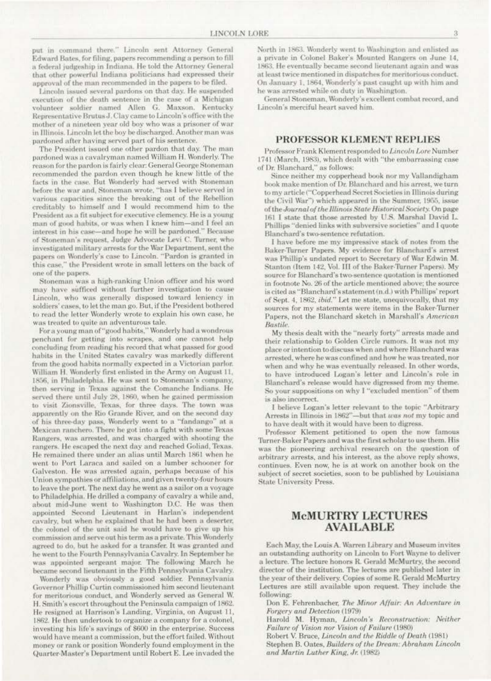put in command there." Lincoln sent Attorney General Edward Bates, for filing, papers recommending a person to fill a federal judgeship in Indiana. He told the Attorney General that other powerful Indiana politicians had expressed their approval of the man recommended in the papers to be filed.

Lincoln issued several pardons on that day. He suspended execution of the death sentence in the case of a Michigan volunteer soldier named Allen G. Maxson. Kentucky Representative Brutus J. Clay came to Lincoln's office with the mother of a nineteen year old boy who was a prisoner of war in Illinois. Lincoln let the boy be discharged. Another man was pardoned after having served part of his sentence.

The President issued one other pardon that day. The man pardoned was a cavalryman named William H. Wonderly. The reason for the pardon is fairly clear: General George Stoneman recommended the pardon even though he knew little of the facts in the case. But Wonderly had served with Stoneman before the war and, Stoneman wrote, "has I believe served in various capacities since the breaking out of the Rebellion creditably to himself and I would recommend him to the President as a fit subject for executive clemency. He is a young man of good habits, or was when I knew him-and I feel an interest in his case-and hope he will be pardoned." Because of Stoneman's request, Judge Advocate Levi C. Turner, who investigated military arrests for the War Department, sent the papers on Wonderly's case to Lincoln. "Pardon is granted in this case," the President wrote in small letters on the back of one of the papers.

Stoneman was a high-ranking Union officer and his word may have sufficed without further investigation to cause Lincoln, who was generally disposed toward leniency in soldiers' cases, to let the man go. But, if the President bothered to read the letter Wonderly wrote to explain his own case, he was treated to quite an adventurous tale.

For a young man of "good habits," Wonderly had a wondrous penchant for getting into scrapes, and one cannot help concluding from reading his record that what passed for good habits in the United States cavalry was markedly different from the good habits normally expected in a Victorian parlor. William H. Wonderly first enlisted in the Army on August 11, 1856, in Philadelphia. He was sent to Stoneman's company, then serving in Texas against the Comanche Indians. He served there until July 28, 1860, when he gained permission to visit Zionsville, Texas, for three days. The town was apparently on the Rio Grande River, and on the second day of his three-day pass, Wonderly went to a "fandango" at a Mexican ranchero. There he got into a fight with some Texas Rangers, was arrested, and was charged with shooting the rangers. He escaped the next day and reached Goliad, Texas. He remained there under an alias until March 1861 when he went to Port Laraca and sailed on a lumber schooner for Galveston. He was arrested again, perhaps because of his Union sympathies or affiliations, and given twenty-four hours to leave the port. The next day he went as a sailor on a voyage to Philadelphia. He drilled a company of cavalry a while and, about mid-June went to Washington D.C. He was then appointed Second Lieutenant in Harlan's independent cavalry, but when he explained that he had been a deserter, the colonel of the unit said he would have to give up his commission and serve out his term as a private. This Wonderly agreed to do, but he asked for a transfer. It was granted and he went to the Fourth Pennsylvania Cavalry. In September he was appointed sergeant major. The following March he became second lieutenant in the Fifth Pennsylvania Cavalry.

Wonderly was obviously a good soldier. Pennsylvania Governor Phillip Curtin commissioned him second lieutenant for meritorious conduct, and Wonderly served as General W. H. Smith's escort throughout the Peninsula campaign of 1862. He resigned at Harrison's Landing, Virginia, on August 11, 1862. He then undertook to organize a company for a colonel, investing his life's savings of \$600 in the enterprise. Success would have meant a commission, but the effort failed. Without money or rank or position Wonderly found employment in the Quarter-Master's Department until Robert E. Lee invaded the

North in 1863. Wonderly went to Washington and enlisted as a private in Colonel Baker's Mounted Rangers on June 14, 1863. He eventually became second lieutenant again and was at least twice mentioned in dispatches for meritorious conduct. On January 1, 1864, Wonderly's past caught up with him and he was arrested while on duty in Washington.

General Stoneman, Wonderly's excellent combat record, and Lincoln's merciful heart saved him.

## **PROFESSOR KLEMENT REPLIES**

Professor Frank Klement responded to Lincoln Lore Number 1741 (March, 1983), which dealt with "the embarrassing case of Dr. Blanchard," as follows:

Since neither my copperhead book nor my Vallandigham book make mention of Dr. Blanchard and his arrest, we turn to my article ("Copperhead Secret Societies in Illinois during the Civil War") which appeared in the Summer, 1955, issue of the Journal of the Illinois State Historical Society. On page 161 I state that those arrested by U.S. Marshal David L. Phillips "denied links with subversive societies" and I quote Blanchard's two-sentence refutation.

I have before me my impressive stack of notes from the Baker-Turner Papers. My evidence for Blanchard's arrest was Phillip's undated report to Secretary of War Edwin M. Stanton (Item 142, Vol. III of the Baker-Turner Papers). My source for Blanchard's two-sentence quotation is mentioned in footnote No. 26 of the article mentioned above; the source is cited as "Blanchard's statement (n.d.) with Phillips' report of Sept. 4, 1862, *ibid."* Let me state, unequivocally, that my sources for my statements were items in the Baker-Turner Papers, not the Blanchard sketch in Marshall's American Bastile.

My thesis dealt with the "nearly forty" arrests made and their relationship to Golden Circle rumors. It was not my place or intention to discuss when and where Blanchard was arrested, where he was confined and how he was treated, nor when and why he was eventually released. In other words, to have introduced Logan's letter and Lincoln's role in Blanchard's release would have digressed from my theme. So your suppositions on why I "excluded mention" of them is also incorrect.

I believe Logan's letter relevant to the topic "Arbitrary Arrests in Illinois in 1862"-but that was not my topic and to have dealt with it would have been to digress.

Professor Klement petitioned to open the now famous Turner-Baker Papers and was the first scholar to use them. His was the pioneering archival research on the question of arbitrary arrests, and his interest, as the above reply shows, continues. Even now, he is at work on another book on the subject of secret societies, soon to be published by Louisiana **State University Press.** 

## **MCMURTRY LECTURES AVAILABLE**

Each May, the Louis A. Warren Library and Museum invites an outstanding authority on Lincoln to Fort Wayne to deliver a lecture. The lecture honors R. Gerald McMurtry, the second director of the institution. The lectures are published later in the year of their delivery. Copies of some R. Gerald McMurtry Lectures are still available upon request. They include the following:

Don E. Fehrenbacher, The Minor Affair: An Adventure in Forgery and Detection (1979)

Harold M. Hyman, Lincoln's Reconstruction: Neither Failure of Vision nor Vision of Failure (1980)

Robert V. Bruce, Lincoln and the Riddle of Death (1981)

Stephen B. Oates, Builders of the Dream: Abraham Lincoln and Martin Luther King, Jr. (1982)